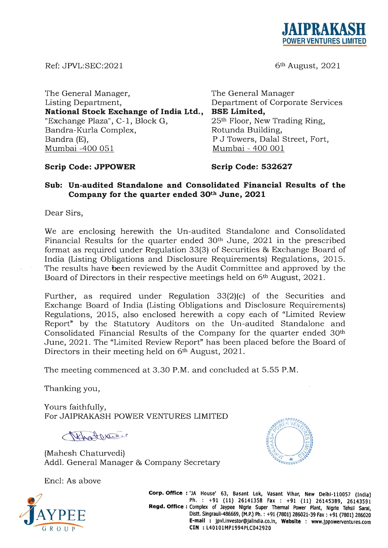

Ref: JPVL:SEC:2021

6th August, 2021

The General Manager, Listing Department, **National Stock Exchange of India Ltd.,**  "Exchange Plaza", C-1, Block G, Bandra-Kurla Complex, Rotunda Building, Bandra (E), Mumbai -400 051

The General Manager Department of Corporate Services **BSE Limited,**  25th Floor, New Trading Ring, P J Towers, Dalal Street, Fort, Mumbai - 400 001

# **Scrip Code: JPPOWER**

**Scrip Code: 532627** 

# **Sub: Un-audited Standalone and Consolidated Financial Results of the Company for the quarter ended 30th June, 2021**

Dear Sirs,

We are enclosing herewith the Un-audited Standalone and Consolidated Financial Results for the quarter ended 30<sup>th</sup> June, 2021 in the prescribed format as required under Regulation 33(3) of Securities & Exchange Board of India (Listing Obligations and Disclosure Requirements) Regulations, 2015. The results have been reviewed by the Audit Committee and approved by the Board of Directors in their respective meetings held on 6<sup>th</sup> August, 2021.

Further, as required under Regulation 33(2)(c) of the Securities and Exchange Board of India (Listing Obligations and Disclosure Requirements) Regulations, 2015, also enclosed herewith a copy each of "Limited Review Report" by the Statutory Auditors on the Un-audited Standalone and Consolidated Financial Results of the Company for the quarter ended 30th June, 2021. The "Limited Review Report" has been placed before the Board of Directors in their meeting held on 6<sup>th</sup> August, 2021.

The meeting commenced at 3.30 P.M. and concluded at 5.55 P.M.

Thanking you,

Yours faithfully, For JAIPRAKASH POWER VENTURES LIMITED

Nehat verdic

(Mahesh Chaturvedi) Addl. General Manager & Company Secretary

Encl: As above



**Corp. OffIce:** 'JA House' 63, Basant Lok, Vasant Vlhar, New Delhl-110057 (India) Ph. :+91 (11) 26141358 Fax: +91(11) 26145389, 26143591 Regd. Office: Complex of Jaypee Nigrie Super Thermal Power Plant, Nigrie Tehsil Saral, Distt. Singrauli-486669, (M.P.) Ph. : +91 (7801) 286021-39 Fax: +91 (7801) 286020 E-mail : jpvl.investor@jalindia.co.in, Website : www.jppowerventures.com **CIN** : L40101MP1994PlC042920

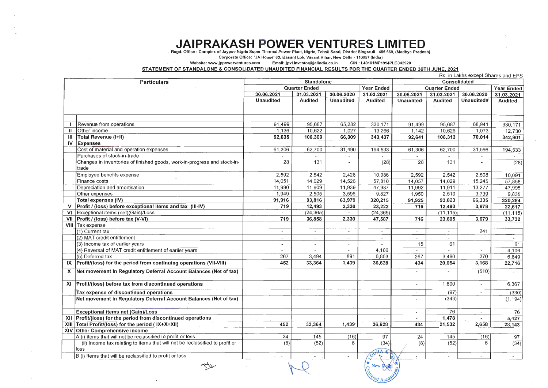# **JAIPRAKASH POWER VENTURES LIMITED**

Regd. Office: Complex of Jaypee Nigrie Super Thermal Power Plant, Nigrie, Tehsil Sarai, District Singrauli - 486 669, (Madhya Pradesh)

Corporate Office: 'JA House' 63, Basant Lok, Vasant Vihar, New Delhi - 110057 (India)

Website: www.jppowerventures.com Email: jpvl.investor@jalindia.co.in CIN: L40101MP1994PLC042920

# STATEMENT OF STANDALONE & CONSOLIDATED UNAUDITED FINANCIAL RESULTS FOR THE QUARTER ENDED 30TH JUNE, 2021

|             |                                                                              |                   |                          |                          |                          | Rs. in Lakhs except Shares and EPS<br><b>Consolidated</b> |                          |            |                   |
|-------------|------------------------------------------------------------------------------|-------------------|--------------------------|--------------------------|--------------------------|-----------------------------------------------------------|--------------------------|------------|-------------------|
|             | <b>Particulars</b>                                                           | <b>Standalone</b> |                          |                          |                          |                                                           |                          |            |                   |
|             |                                                                              |                   | <b>Quarter Ended</b>     |                          | <b>Year Ended</b>        |                                                           | <b>Quarter Ended</b>     |            | <b>Year Ended</b> |
|             |                                                                              | 30.06.2021        | 31.03.2021               | 30.06.2020               | 31.03.2021               | 30.06.2021                                                | 31.03.2021               | 30.06.2020 | 31.03.2021        |
|             |                                                                              | <b>Unaudited</b>  | <b>Audited</b>           | <b>Unaudited</b>         | <b>Audited</b>           | <b>Unaudited</b>                                          | <b>Audited</b>           | Unaudited# | <b>Audited</b>    |
|             |                                                                              |                   |                          |                          |                          |                                                           |                          |            |                   |
|             |                                                                              |                   |                          |                          |                          |                                                           |                          |            |                   |
|             | Revenue from operations                                                      | 91,499            | 95,687                   | 65,282                   | 330,171                  | 91,499                                                    | 95,687                   | 68,941     | 330,171           |
|             | Other income                                                                 | 1,136             | 10,622                   | 1,027                    | 13,266                   | 1,142                                                     | 10,626                   | 1,073      | 12,730            |
|             | <b>Total Revenue (I+II)</b>                                                  | 92,635            | 106,309                  | 66,309                   | 343,437                  | 92,641                                                    | 106,313                  | 70,014     | 342,901           |
| <b>IV</b>   | <b>Expenses</b>                                                              |                   |                          |                          |                          |                                                           |                          |            |                   |
|             | Cost of material and operation expenses                                      | 61,306            | 62,700                   | 31,490                   | 194,533                  | 61,306                                                    | 62,700                   | 31,566     | 194,533           |
|             | Purchases of stock-in-trade                                                  |                   |                          |                          |                          |                                                           |                          |            |                   |
|             | Changes in inventories of finished goods, work-in-progress and stock-in-     | 28                | 131                      | $\blacksquare$           | (28)                     | 28                                                        | 131                      |            | (28)              |
|             | ltrade                                                                       |                   |                          |                          |                          |                                                           |                          |            |                   |
|             | Employee benefits expense                                                    | 2,592             | 2,542                    | 2,428                    | 10,086                   | 2,592                                                     | 2,542                    | 2,508      | 10,091            |
|             | Finance costs                                                                | 14,051            | 14,029                   | 14,526                   | 57,810                   | 14,057                                                    | 14,029                   | 15,245     | 57,858            |
|             | Depreciation and amortisation                                                | 11,990            | 11,909                   | 11,939                   | 47,987                   | 11,992                                                    | 11,911                   | 13,277     | 47,995            |
|             | Other expenses                                                               | 1,949             | 2,505                    | 3,596                    | 9,827                    | 1,950                                                     | 2,510                    | 3,739      | 9,835             |
|             | <b>Total expenses (IV)</b>                                                   | 91,916            | 93,816                   | 63,979                   | 320,215                  | 91,925                                                    | 93,823                   | 66,335     | 320,284           |
|             | Profit / (loss) before exceptional items and tax (III-IV)                    | 719               | 12,493                   | 2,330                    | 23,222                   | 716                                                       | 12,490                   | 3,679      | 22,617            |
| VI          | Exceptional items (net)(Gain)/Loss                                           |                   | (24, 365)                |                          | (24, 365)                |                                                           | (11, 115)                |            | (11, 115)         |
|             | Profit / (loss) before tax (V-VI)                                            | 719               | 36,858                   | 2,330                    | 47,587                   | 716                                                       | 23,605                   | 3,679      | 33,732            |
| <b>VIII</b> | Tax expense                                                                  |                   |                          |                          |                          |                                                           |                          |            |                   |
|             | (1) Current tax                                                              |                   | $\overline{\phantom{0}}$ | $\sim$                   | $\overline{\phantom{a}}$ | $\overline{\phantom{a}}$                                  | $\overline{\phantom{a}}$ | 241        |                   |
|             | (2) MAT credit entitlement                                                   |                   | $\sim$                   | $\sim$                   | $\overline{\phantom{a}}$ |                                                           | $\overline{\phantom{a}}$ |            | $\sim$            |
|             | (3) Income tax of earlier years                                              |                   | $\blacksquare$           | $\sim$                   |                          | 15                                                        | 61                       |            | 61                |
|             | (4) Reversal of MAT credit entitlement of earlier years                      |                   |                          |                          | 4,106                    |                                                           |                          |            | 4,106             |
|             | (5) Deferred tax                                                             | 267               | 3,494                    | 891                      | 6,853                    | 267                                                       | 3,490                    | 270        | 6,849             |
|             | IX Profit/(loss) for the period from continuing operations (VII-VIII)        | 452               | 33,364                   | 1,439                    | 36,628                   | 434                                                       | 20,054                   | 3,168      | 22,716            |
|             |                                                                              |                   |                          |                          |                          |                                                           |                          |            |                   |
|             | X   Net movement in Regulatory Deferral Account Balances (Net of tax)        |                   |                          |                          |                          |                                                           |                          | (510)      |                   |
|             | $XI$ Profit/(loss) before tax from discontinued operations                   |                   |                          |                          |                          |                                                           | 1,800                    |            |                   |
|             |                                                                              |                   |                          |                          |                          |                                                           |                          |            | 6,367             |
|             | Tax expense of discontinued operations                                       |                   |                          |                          |                          |                                                           | (97)                     |            | (330)             |
|             | Net movement in Regulatory Deferral Account Balances (Net of tax)            |                   |                          |                          |                          |                                                           | (343)                    |            | (1, 194)          |
|             |                                                                              |                   |                          |                          |                          |                                                           |                          |            |                   |
|             | <b>Exceptional items net (Gain)/Loss</b>                                     |                   |                          |                          |                          |                                                           | 76                       |            | 76                |
|             | XII Profit/(loss) for the period from discontinued operations                |                   |                          |                          |                          | $\blacksquare$                                            | 1,478                    |            | 5,427             |
| XIII        | Total Profit/(loss) for the period (IX+X+XII)                                | 452               | 33,364                   | 1,439                    | 36,628                   | 434                                                       | 21,532                   | 2,658      | 28,143            |
|             | XIV Other Comprehensive Income                                               |                   |                          |                          |                          |                                                           |                          |            |                   |
|             | A (i) Items that will not be reclassified to profit or loss                  | 24                | 145                      | (16)                     | 97                       | 24                                                        | 145                      | (16)       | 97                |
|             | (ii) Income tax relating to items that will not be reclassified to profit or | (8)               | (52)                     | 6.                       | (34)                     | (8)                                                       | (52)                     | 6          | (34)              |
|             | lloss.                                                                       |                   |                          |                          | ODHIA                    |                                                           |                          |            |                   |
|             | B (i) Items that will be reclassified to profit or loss                      |                   |                          | $\overline{\phantom{a}}$ |                          |                                                           | $\overline{\phantom{a}}$ |            |                   |
|             |                                                                              |                   |                          |                          | New Delhi                |                                                           |                          |            |                   |
|             |                                                                              |                   |                          |                          |                          |                                                           |                          |            |                   |
|             |                                                                              |                   |                          |                          |                          |                                                           |                          |            |                   |
|             |                                                                              |                   |                          |                          |                          |                                                           |                          |            |                   |

 $\sim$ 



t •.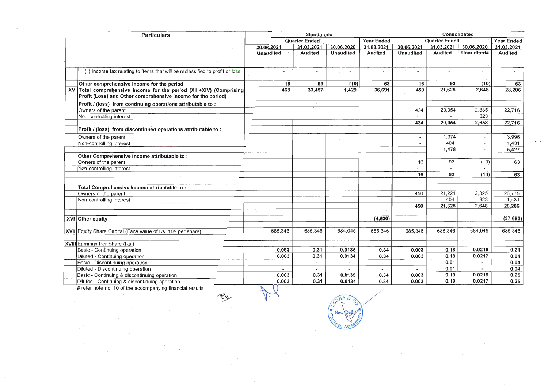| <b>Particulars</b> |                                                                                                                                     | <b>Standalone</b>        |                      |            |                | <b>Consolidated</b>                       |                          |            |                          |
|--------------------|-------------------------------------------------------------------------------------------------------------------------------------|--------------------------|----------------------|------------|----------------|-------------------------------------------|--------------------------|------------|--------------------------|
|                    |                                                                                                                                     |                          | <b>Quarter Ended</b> |            |                | <b>Quarter Ended</b><br><b>Year Ended</b> |                          |            | <b>Year Ended</b>        |
|                    |                                                                                                                                     | 30.06.2021               | 31.03.2021           | 30.06.2020 | 31.03.2021     | 30.06.2021                                | 31.03.2021               | 30.06.2020 | 31.03.2021               |
|                    |                                                                                                                                     | <b>Unaudited</b>         | <b>Audited</b>       | Unaudited  | <b>Audited</b> | <b>Unaudited</b>                          | <b>Audited</b>           | Unaudited# | <b>Audited</b>           |
|                    | (ii) Income tax relating to items that will be reclassified to profit or loss                                                       | -                        |                      |            |                |                                           |                          |            |                          |
|                    | Other comprehensive income for the period                                                                                           | 16                       | 93                   | (10)       | 63             | 16                                        | 93                       | (10)       | 63                       |
|                    | XV Total comprehensive income for the period (XIII+XIV) (Comprising<br>Profit (Loss) and Other comprehensive income for the period) | 468                      | 33,457               | 1,429      | 36,691         | 450                                       | 21,625                   | 2,648      | 28,206                   |
|                    | Profit / (loss) from continuing operations attributable to:                                                                         |                          |                      |            |                |                                           |                          |            |                          |
|                    | Owners of the parent                                                                                                                |                          |                      |            |                | 434                                       | 20,054                   | 2,335      | 22,716                   |
|                    | Non-controlling interest                                                                                                            |                          |                      |            |                | $\overline{\phantom{a}}$                  |                          | 323        |                          |
|                    |                                                                                                                                     |                          |                      |            |                | 434                                       | 20,054                   | 2,658      | 22,716                   |
|                    | Profit / (loss) from discontinued operations attributable to:                                                                       |                          |                      |            |                |                                           |                          |            |                          |
|                    | Owners of the parent                                                                                                                |                          |                      |            |                |                                           | 1,074                    |            | 3,996                    |
|                    | Non-controlling interest                                                                                                            |                          |                      |            |                |                                           | 404                      |            | 1,431                    |
|                    |                                                                                                                                     |                          |                      |            |                |                                           | 1,478                    |            | 5,427                    |
|                    | Other Comprehensive Income attributable to:                                                                                         |                          |                      |            |                |                                           |                          |            |                          |
|                    | Owners of the parent                                                                                                                |                          |                      |            |                | 16                                        | 93                       | (10)       | 63                       |
|                    | Non-controlling interest                                                                                                            |                          |                      |            |                |                                           | $\overline{\phantom{a}}$ |            | $\overline{\phantom{a}}$ |
|                    |                                                                                                                                     |                          |                      |            |                | 16                                        | 93                       | (10)       | 63                       |
|                    |                                                                                                                                     |                          |                      |            |                |                                           |                          |            |                          |
|                    | Total Comprehensive income attributable to:                                                                                         |                          |                      |            |                |                                           |                          |            |                          |
|                    | Owners of the parent                                                                                                                |                          |                      |            |                | 450                                       | 21,221                   | 2,325      | 26,775                   |
|                    | Non-controlling interest                                                                                                            |                          |                      |            |                |                                           | 404                      | 323        | 1,431                    |
|                    |                                                                                                                                     |                          |                      |            |                | 450                                       | 21,625                   | 2,648      | 28,206                   |
|                    | XVI Other equity                                                                                                                    |                          |                      |            | (4, 530)       |                                           |                          |            | (37, 693)                |
|                    | XVII Equity Share Capital (Face value of Rs. 10/- per share)                                                                        | 685,346                  | 685,346              | 684,045    | 685,346        | 685,346                                   | 685,346                  | 684,045    | 685,346                  |
|                    | XVIII Earnings Per Share (Rs.)                                                                                                      |                          |                      |            |                |                                           |                          |            |                          |
|                    | Basic - Continuing operation                                                                                                        | 0.003                    | 0.31                 | 0.0135     | 0.34           | 0.003                                     | 0.18                     | 0.0219     | 0.21                     |
|                    | Diluted - Continuing operation                                                                                                      | 0.003                    | 0.31                 | 0.0134     | 0.34           | 0.003                                     | 0.18                     | 0.0217     | 0.21                     |
|                    | Basic - Discontinuing operation                                                                                                     | ٠                        | $\bullet$            |            |                | $\blacksquare$                            | 0.01                     | $\sim$     | 0.04                     |
|                    | Diluted - Discontinuing operation                                                                                                   | $\overline{\phantom{a}}$ | $\bullet$            |            |                | $\blacksquare$                            | 0.01                     |            | 0.04                     |
|                    | Basic - Continuing & discontinuing operation                                                                                        | 0.003                    | 0.31                 | 0.0135     | 0.34           | 0.003                                     | 0.19                     | 0.0219     | 0.25                     |
|                    | Diluted - Continuing & discontinuing operation                                                                                      | 0.003                    | 0.31                 | 0.0134     | 0.34           | 0.003                                     | 0.19                     | 0.0217     | 0.25                     |
|                    | # refer note no. 10 of the accompanying financial results                                                                           |                          |                      |            |                |                                           |                          |            |                          |
|                    | 45                                                                                                                                  |                          |                      | $D$ IIA &  |                |                                           |                          |            |                          |

 $\mathcal{L}_{\mathcal{A}}$ 

 $\rightarrow$ 

 $\overline{\phantom{a}}$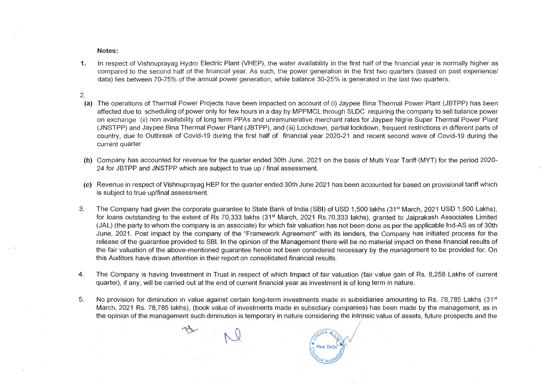..

1. In respect of Vishnuprayag Hydro Electric Plant (VHEP), the water availability in the first half of the financial year is normally higher as compared to the second half of the financial year. As such, the power generation in the first two quarters (based on past experience/ data) lies between 70-75% of the annual power generation, while balance 30-25% is generated in the last two quarters.

# Notes:

# 2.

- (a) The operations of Thermal Power Projects have been impacted on account of (i) Jaypee Bina Thermal Power Plant (JBTPP) has been affected due to scheduling of power only for few hours in a day by MPPMCL through SLOC requiring the company to sell balance power on exchange (ii) non availability of long term PPAs and unremunerative merchant rates for Jaypee Nigrie Super Thermal Power Plant (JNSTPP) and Jaypee Bina Thermal Power Plant (JBTPP), and (iii) Lockdown, partiallockdown, frequent restrictions in different parts of country, due to Outbreak of Covid-19 during the first half of financial year 2020-21 and recent second wave of Covid-19 during the current quarter
- (b) Company has accounted for revenue for the quarter ended 30th June, 2021 on the basis of Multi Year Tariff (MYT) for the period 2020- 24 for JBTPP and JNSTPP which are subject to true up / final assessment.
- (c) Revenue in respect of Vishnuprayag HEP for the quarter ended 30th June 2021 has been accounted for based on provisional tariff which is subject to true up/final assessment.
- 3. The Company had given the corporate guarantee to State Bank of India (SBI) of USD 1,500 lakhs (31<sup>st</sup> March, 2021 USD 1,500 Lakhs), for loans outstanding to the extent of Rs 70,333 lakhs (31<sup>st</sup> March, 2021 Rs.70,333 lakhs), granted to Jaiprakash Associates Limited (JAL) (the party to whom the company is an associate) for which fair valuation has not been done as per the applicable Ind-AS as of 30th June, 2021. Post impact by the company of the "Framework Agreement" with its lenders, the Company has initiated process for the release of the guarantee provided to SBI. In the opinion of the Management there will be no material impact on these financial results of the fair valuation of the above-mentioned guarantee hence not been considered necessary by the management to be provided for. On this Auditors have drawn attention in their report on consolidated financial results.
- 4. The Company is having Investment in Trust in respect of which Impact of fair valuation (fair value gain of Rs. 8,258 Lakhs of current quarter), if any, will be carried out at the end of current financial year as investment is of long term in nature.

. .

**New Delh** 

5. No provision for diminution in value against certain long-term investments made in subsidiaries amounting to Rs. 78,785 Lakhs (31<sup>st</sup>) March, 2021 Rs. 78,785 lakhs), (book value of investments made in subsidiary companies) has been made by the management, as in the opinion of the management such diminution is temporary in nature considering the intrinsic value of assets, future prospects and the  $\sqrt{0}$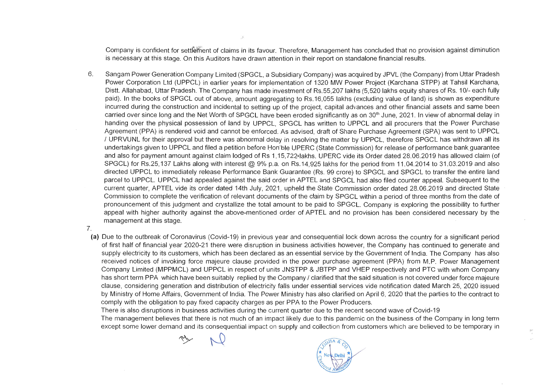Company is confident for settre: ent of claims in its favour. Therefore, Management has concluded that no provision against diminution is necessary at this stage. On this Auditors have drawn attention in their report on standalone financial results.

- 6. Sangam Power Generation Company Limited (SPGCL, a Subsidiary Company) was acquired by JPVL (the Company) from Uttar Pradesh Power Corporation Ltd (UPPCL) in earlier years for implementation of 1320 MW Power Project (Karchana STPP) at Tahsil Karchana, Distt. Allahabad, Uttar Pradesh. The Company has made investment of RS.55,207 lakhs (5,520 lakhs equity shares of Rs. 10/- each fully paid). In the books of SPGCL out of above, amount aggregation to RS.00,207 lakhs (0,020 lakhs equity shares of RS. 167 cash lany paid). In the books of SPGCL out of above, amount aggregating to Rs.16,055 lakhs (excluding value of land) is shown as expenditure<br>incurred during the construction and incidental to setting up of the project, capital advan carried over since long and the Net Worth of SPGCL have been eroded significantly as on 30<sup>th</sup> June, 2021. In view of abnormal delay in and over since joing and the net violation of OOL have been croudd significantly as on so-band, 2021. In view of abhomat asiay in Agreement (PPA) is rendered void and cannot be enforced. As advised, draft of Share Purchase Agreement (SPA) was sent to UPPCL Agreement (PPA) is rendered void and cannot be enforced. As advised, draft of Share Purchase Agreement (SPA) was sent to UPPCL<br>/ UPRVUNL for their approval but there was abnormal delay in resolving the matter by UPPCL, the undertakings given to UPPCL and filed a petition before Hon'ble UPERC (State Commission) for release of performance bank guarantee and also for payment amount against claim lodged of Rs 1, 15,722<sup>4</sup> Iakhs. UPERC vide its Order dated 28.06.2019 has allowed claim (of SPGCL) for RS.25, 137 Lakhs along with interest @ 9% p.a. on RS.14,925 lakhs for the period from 11 .04.2014 to 31.03.2019 and also directed UPPCL to immediately release Performance Bank Guarantee (Rs. 99 crore) to SPGCL and SPGCL to transfer the entire land parcel to UPPCL. UPPCL had appealed against the said order in APTEL and SPGCL had also filed counter appeal. Subsequent to the current quarter, APTEL vide its order dated 14th July, 2021, upheld the State Commission order dated 28.06.2019 and directed State Commission to complete the verification of relevant documents of the claim by SPGCL within a period of three months from the date of pronouncement of this judgment and crystallize the total amount to be paid to SPGCL. Company is exploring the possibility to further appeal with higher authority against the above-mentioned order of APTEL and no provision has been -considered necessary by the ppcar with ingrich additionly
- 7.
	- **(a)** Due to the outbreak of Coronavirus (Covid-19) in previous year and consequential lock down across the country for a significant period of first half of financial year 2020-21 there were disruption in business activities however, the Company has continued to generate and of first half of financial year 2020-21 there were disruption in business activities however, the Company has continued to generate and<br>supply electricity to its customers, which has been declared as an essential service b received notices of invoking force majeure clause provided in the power purchase agreement (PPA) from M.P. Power Management Company Limited (MPPMCL) and UPPCL in respect of units JNSTPP & JBTPP and VHEP respectively and PTC with whom Company has short term PPA which have been suitably replied by the Company / clarified that the said situation is not covered under force majeure considering and distribution and distribution of electricity falls under essential services vide notification dated March 25, 2020 issued by Ministry of Home Affairs, Government of India. The Power Ministry has also clarified on April 6, 2020 that the parties to the contract to by Ministry of Home Affairs, Government of India. The Power Ministry has also clarified on April 6, 2020 that the parties to the contract to comply with the obligation to pay fixed capacity charges as per PPA to the Power

There is also disruptions in business activities during the current quarter due to the recent second wave of Covid-19 The management believes that there is not much of an impact likely due to this pandemic on the business of the Company in long term except some lower demand and its consequential impact on supply and collection from customers which are believed to be temporary in

 $\omega$  +

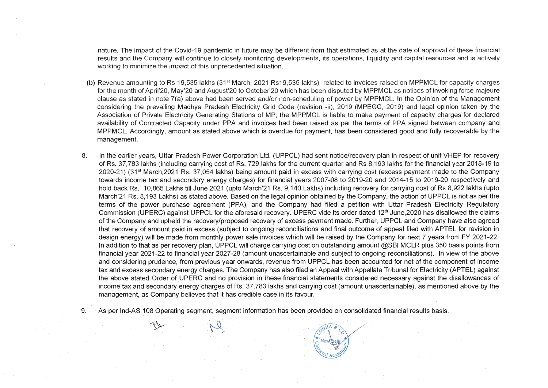nature. The impact of the Covid-19 pandemic in future may be different from that estimated as at the date of approval of these financial ature. The impact of the Covid-19 pandemic in future may be different from that estimated as at the date of approval of these imaginary<br>The continue of the capital resources and is actively and is active is active is activ results and the Company will continue to closely monitoring developments, its operations, liquidity and capital resources and is actively working to minimize the impact of this unprecedented situation.

- (b) Revenue amounting to Rs 19,535 lakhs (31<sup>st</sup> March, 2021 Rs19,535 lakhs) related to invoices raised on MPPMCL for capacity charges for the month of April'20, May'20 and August'20 to October'20 which has been disputed by MPPMCL as notices of invoking force majeure<br>In the month of April'20, May'20 and August'20 to October'20 which has been disputed by M clause indititive April 20, may 20 and August 20 to October 20 which has been uisputed by MPP MCL as notices of invoking force majeure<br>In the Management of 20 and the Managust 20 to October 20 which has been uisputed by MP clause as stated in note 7(a) above had been served and/or non-scheduling of power by MPPMCL. In the Opinion of the Management considering the prevailing Madhya Pradesh Electricity Grid Code (revision -ii), 2019 (MPEGC, 2019) and legal opinion taken by the Association of Private Electricity Generating Stations of MP, the MPPMCL is liable to make payment of capacity charges for declared availability of Contracted Capacity under PPA and invoices had been raised as per the terms of PPA signed between company and MPPMCL. Accordingly, amount as stated above which is overdue for payment, has been considered good and fully recoverable by the management.
- 8. In the earlier years, Uttar Pradesh Power Corporation Ltd. (UPPCL) had sent notice/recovery plan in respect of unit VHEP for recovery of Rance Reality Carry Carry Reality Component and Controlled carrying carrying control control respect of and Vitari for tecovery<br>The financial years, Ottal Prayesh Fower Corporation Ltd. (OPPOL) hay sent noticencovery pl of Rs. 37,783 lakhs (including carrying cost of Rs. 729 lakhs for the current quarter and Rs 8,193 lakhs for the financial year 2018-19 to 2020-21) (31<sup>st</sup> March, 2021 Rs. 37,054 lakhs) being amount paid in excess with carrying cost (excess payment made to the Company towards income tax and secondary energy charges) for financial years 2007-08 to 2019-20 and 2014-15 to 2019-20 respectively and hold back Rs. 10,865 Lakhs till June 2021 (upto March'21 Rs. 9,140 Lakhs) including recovery for carrying cost of Rs 8,922 lakhs (upto March'21 Rs. 8,193 Lakhs) as stated above. Based on the legal opinion obtained by the Company, the action of UPPCL is not as per the terms of the power purchase agreement (PPA), and the Company had filed a petition with Uttar Pradesh Electricity Regulatory Commission (UPERC) against UPPCL for the aforesaid recovery. UPERC vide its order dated 12<sup>th</sup> June, 2020 has disallowed the claims of the Company and upheld the recovery/proposed recovery of excess payment made. Further, UPPCL and Company have also agreed that recovery of amount paid in excess (subject to ongoing reconciliations and final outcome of appeal filed with APTEL for revision in design energy) will be made from monthly power sale invoices which will be raised by the Company for next 7 years from FY 2021-22. In addition to that as per recovery plan, UPPCL will charge carrying cost on outstanding amount @SBI MCLR plus 350 basis points from financial year 2021-22 to financial year 2027-28 (amount unascertainable and subject to ongoing reconciliations). In view of the above and considering prudence, from previous year onwards, revenue from UPPCL has been accounted for net of the component of income tax and excess secondary energy charges. The Company has also filed an Appeal with Appellate Tribunal for Electricity (APTEL) against the above stated Order of UPERC and no provision in these financial statements considered necessary against the disallowances of income tax and secondary energy charges of Rs. 37,783 lakhs and carrying cost (amount unascertainable), as mentioned above by the<br>management, as Company believes that it has credible case in its favour.
- 9. . As per Ind-AS 108 Operating segment, segment information has been provided on consolidatedfinancial results basis. . Operating segment, segmer<br>N

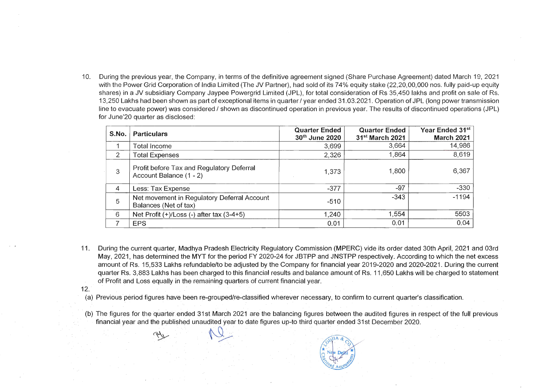10. During the previous year, the Company, in terms of the definitive agreement signed (Share Purchase Agreement) dated March 19, 2021 vith the Power Grid Corporation of India Limited Corporation of India Limited (State Corporation Corporation 15, 2021<br>With the Corporation of its fully paid-up to 100 nos. Fully paid-up and the Cape of Corporation of India with the Power Grid Corporation of India Limited (The JV Partner), had sold of its 74% equity stake (22,20,00,000 nos. fully paid-up equity shares) in a JV subsidiary Company Jaypee Powergrid Limited (JPL), for total consideration of Rs 35,450 lakhs and profit on sale of Rs. 13,250 Lakhs had been shown as part of exceptional items in quarter / year ended 31.03.2021. Operation of JPL (long power transmission line to evacuate power) was considered / shown as discontinued operation in previous year. The results of discontinued operations (JPL) for June'20 quarter as disclosed:

| S.No.          | <b>Particulars</b>                                                   | <b>Quarter Ended</b><br>30th June 2020 | <b>Quarter Ended</b><br>31 <sup>st</sup> March 2021 | Year Ended 31 <sup>st</sup><br><b>March 2021</b> |
|----------------|----------------------------------------------------------------------|----------------------------------------|-----------------------------------------------------|--------------------------------------------------|
|                | Total Income                                                         | 3,699                                  | 3,664                                               | 14,986                                           |
| $\overline{2}$ | <b>Total Expenses</b>                                                | 2,326                                  | 1,864                                               | 8,619                                            |
| 3              | Profit before Tax and Regulatory Deferral<br>Account Balance (1 - 2) | 1,373                                  | 1,800                                               | 6,367                                            |
| $\overline{4}$ | Less: Tax Expense                                                    | $-377$                                 | $-97$                                               | $-330$                                           |
| 5              | Net movement in Regulatory Deferral Account<br>Balances (Net of tax) | $-510$                                 | $-343$                                              | $-1194$                                          |
| 6              | Net Profit $(+)/$ Loss $(-)$ after tax $(3-4+5)$                     | 1,240                                  | 1,554                                               | 5503                                             |
|                | <b>EPS</b>                                                           | 0.01                                   | 0.01                                                | 0.04                                             |

- $\frac{1}{10}$  . Models the current production  $\frac{1}{10}$  or  $\frac{1}{10}$  or  $\frac{1}{10}$  order dated 30th April, 2021 and 03rd April, 2021 and 03rd April, 2021 and 03rd April, 2021 and 03rd April, 2021 and 03rd April, 2021 and 0 Ming the Current quarter, Mauriya Frauesh Liectricity regulatory Commission (MFLRC) vide its order uated John April, 2021 and John  $\sim$ May, 2021, has determined the MYT for the period FY 2020-24 for JBTPP and JNSTPP respectively. According to which the net excess amount of Rs. 15,533 Lakhs refundable/to be adjusted by the Company for financial year 2019-2020 and 2020-2021. During the current quarter Rs. 3,883 Lakhs has been charged to this financial results and balance amount of Rs. 11,650 Lakhs will be charged to statement of Profit and Loss equally in the remaining quarters of current financial year.
- 12.
	- .<br>a) Previous period figures have been re-grouped/re-classified wherever necessary, to confirm to current quarter's classification.
	- (b) The figures for the quarter ended 31 st March 2021 are the balancing figures between the audited figures in respect of the full previous . The nyures for the quarter ended 51 st March 2021 are the balancing nyures between the addited nyures in respect financial year and the published unaudited year to date figures up-to third quarter ended 31st December 2020.

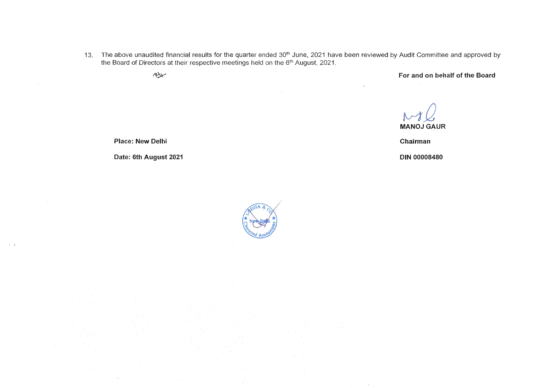he above unaudited financial results for the quarter ended 30<sup>th</sup> June, 2021 have

| $R_{\rm{X}}$ |  |  |  |
|--------------|--|--|--|
|              |  |  |  |



**For and on behalf of the Board** 

 $HQ$ **MANOJ GAUR**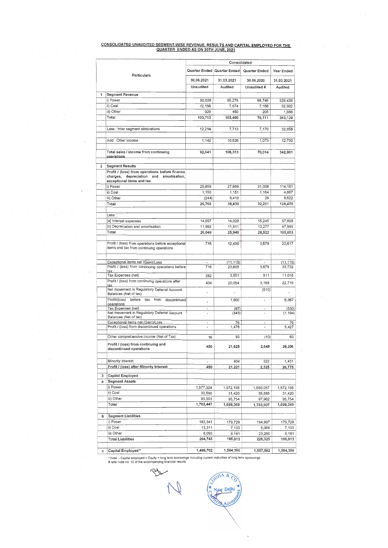#### CONSOLIDATED UNAUDITED SEGMENT-WISE REVENUE, RESULTS AND CAPITAL EMPLOYED FOR THE QUARTER ENDED AS ON 30TH JUNE, 2021

 $\sim$   $^{\prime}$ 

 $\label{eq:2.1} \frac{1}{\sqrt{2\pi}}\left(\frac{1}{\sqrt{2\pi}}\right)^{1/2} \left(\frac{1}{\sqrt{2\pi}}\right)^{1/2}$ 

 $\sim$ 

 $\cdot$ 

 $\sim$ 

 $\sim$   $\sim$ 

 $\label{eq:2} \begin{split} \frac{1}{2} \left( \frac{1}{2} \sum_{i=1}^{n} \frac{1}{2} \sum_{j=1}^{n} \frac{1}{2} \sum_{j=1}^{n} \frac{1}{2} \sum_{j=1}^{n} \frac{1}{2} \sum_{j=1}^{n} \frac{1}{2} \sum_{j=1}^{n} \frac{1}{2} \sum_{j=1}^{n} \frac{1}{2} \sum_{j=1}^{n} \frac{1}{2} \sum_{j=1}^{n} \frac{1}{2} \sum_{j=1}^{n} \frac{1}{2} \sum_{j=1}^{n} \frac{1}{2} \sum_{j$ 

 $\mathcal{F}^{\mathcal{G}}_{\mathcal{G}}$  , and  $\mathcal{F}^{\mathcal{G}}_{\mathcal{G}}$ 

 $\sim$ 

 $\sim 10^{-1}$ 

 $\mathcal{A}$ 

 $\sim$ 

 $\label{eq:1} \frac{1}{\sqrt{2}}\left(\frac{1}{\sqrt{2}}\right)^2\left(\frac{1}{\sqrt{2}}\right)^2\left(\frac{1}{\sqrt{2}}\right)^2.$ 

 $\mathcal{A}$ 

 $\label{eq:2.1} \mathcal{L}(\mathcal{A}) = \mathcal{L}(\mathcal{A}) = \mathcal{L}(\mathcal{A}) = \mathcal{L}(\mathcal{A})$ 

 $\mathcal{L}_{\text{max}}$  , where  $\mathcal{L}_{\text{max}}$ 

 $\mathcal{F}_{\mathcal{A}}(\mathcal{A})$ 

 $\mathcal{F}(\mathcal{F})$  , and  $\mathcal{F}(\mathcal{F})$  , and

 $\mathcal{F}^{\mathcal{G}}_{\mathcal{G}}$  ,  $\mathcal{G}^{\mathcal{G}}_{\mathcal{G}}$  ,  $\mathcal{F}^{\mathcal{G}}_{\mathcal{G}}$ 

 $\label{eq:2} \frac{1}{\sqrt{2}}\sum_{i=1}^n\frac{1}{\sqrt{2}}\sum_{i=1}^n\frac{1}{\sqrt{2}}\sum_{i=1}^n\frac{1}{\sqrt{2}}\sum_{i=1}^n\frac{1}{\sqrt{2}}\sum_{i=1}^n\frac{1}{\sqrt{2}}\sum_{i=1}^n\frac{1}{\sqrt{2}}\sum_{i=1}^n\frac{1}{\sqrt{2}}\sum_{i=1}^n\frac{1}{\sqrt{2}}\sum_{i=1}^n\frac{1}{\sqrt{2}}\sum_{i=1}^n\frac{1}{\sqrt{2}}\sum_{i=1}^n\frac{1$ 

 $\label{eq:3.1} \frac{1}{2} \frac{1}{2} \left( \frac{1}{2} \right)^2$ 

 $\sim$   $\sim$ 

 $\label{eq:2.1} \frac{1}{\sqrt{2}}\int_{\mathbb{R}^3}\frac{1}{\sqrt{2}}\left(\frac{1}{\sqrt{2}}\right)^2\left(\frac{1}{\sqrt{2}}\right)^2\left(\frac{1}{\sqrt{2}}\right)^2\left(\frac{1}{\sqrt{2}}\right)^2.$ 

Ìч,  $\frac{1}{2} \sum_{i=1}^{2} \frac{1}{2} \sum_{j=1}^{2} \frac{1}{2} \sum_{j=1}^{2} \frac{1}{2} \sum_{j=1}^{2} \frac{1}{2} \sum_{j=1}^{2} \frac{1}{2} \sum_{j=1}^{2} \frac{1}{2} \sum_{j=1}^{2} \frac{1}{2} \sum_{j=1}^{2} \frac{1}{2} \sum_{j=1}^{2} \frac{1}{2} \sum_{j=1}^{2} \frac{1}{2} \sum_{j=1}^{2} \frac{1}{2} \sum_{j=1}^{2} \frac{1}{2} \sum_{j=1}^{2$ 

| b | <b>Segment Liabilities</b>                                                                                                                                                   |           |           |           |           |
|---|------------------------------------------------------------------------------------------------------------------------------------------------------------------------------|-----------|-----------|-----------|-----------|
|   | i) Power                                                                                                                                                                     | 183,341   | 179,729   | 194,997   | 179,729   |
|   | ii) Coal                                                                                                                                                                     | 13,311    | 7.103     | 8,068     | 7,103     |
|   | iii) Other                                                                                                                                                                   | 8,093     | 8.181     | 23,260    | 8,181     |
|   | <b>Total Liabilities</b>                                                                                                                                                     | 204,745   | 195,013   | 226,325   | 195,013   |
| C | Capital Employed *                                                                                                                                                           | 1,498,702 | 1,504,356 | 1,557,582 | 1,504,356 |
|   | * Note :- Capital employed = Equity + long term borrowings including current maturities of long term borrowings<br># refer note no. 10 of the accompanying financial results |           |           |           |           |
|   |                                                                                                                                                                              |           |           |           |           |

ODITA &

New Delhi

 $\dot{c}$ Ŕ

**ZILS** 

 $\sim$ 

 $\sim$ 

|   |                                                                                                                              | Consolidated                    |                               |                          |                   |  |  |  |
|---|------------------------------------------------------------------------------------------------------------------------------|---------------------------------|-------------------------------|--------------------------|-------------------|--|--|--|
|   | Particulars                                                                                                                  |                                 | Quarter Ended   Quarter Ended | Quarter Ended            | Year Ended        |  |  |  |
|   |                                                                                                                              | 30.06.2021                      | 31.03.2021                    | 30.06.2020               | 31.03.2021        |  |  |  |
|   |                                                                                                                              | Unaudited                       | Audited                       | Unaudited #              | Audited           |  |  |  |
| 1 | <b>Segment Revenue</b>                                                                                                       |                                 |                               |                          |                   |  |  |  |
|   | i) Power                                                                                                                     | 90,628                          | 95,276                        | 68,746                   | 328,439           |  |  |  |
|   | ii) Coal                                                                                                                     | 12,156                          | 7,674                         | 7,160                    | 32,802            |  |  |  |
|   | iii) Other                                                                                                                   | 929                             | 450                           | 205                      | 1,888             |  |  |  |
|   | Total                                                                                                                        | 103,713                         | 103,400                       | 76,111                   | 363,129           |  |  |  |
|   |                                                                                                                              |                                 |                               |                          |                   |  |  |  |
|   | Less : Inter segment eliminations                                                                                            | 12,214                          | 7,713                         | 7,170                    | 32,958            |  |  |  |
|   | Add: Other income                                                                                                            | 1,142                           | 10,626                        | 1,073                    | 12,730            |  |  |  |
|   | Total sales / income from continuing<br>operations                                                                           | 92,641                          | 106,313                       | 70,014                   | 342,901           |  |  |  |
| 2 | <b>Segment Results</b>                                                                                                       |                                 |                               |                          |                   |  |  |  |
|   | Profit / (loss) from operations before finance<br>charges, depreciation<br>and<br>amortisation.<br>exceptional items and tax |                                 |                               |                          |                   |  |  |  |
|   | i) Power                                                                                                                     | 25,859                          | 27,869                        | 31,008                   | 114,181           |  |  |  |
|   | ii) Coal                                                                                                                     | 1,150                           | 1,151                         | 1,164                    | 4,667             |  |  |  |
|   | iii) Other<br>Total                                                                                                          | (244)                           | 9,410                         | 29                       | 9,622             |  |  |  |
|   |                                                                                                                              | 26,765                          | 38,430                        | 32,201                   | 128,470           |  |  |  |
|   | Less:                                                                                                                        |                                 |                               |                          |                   |  |  |  |
|   | [a] Interest expenses                                                                                                        | 14,057                          | 14,029                        | 15,245                   | 57,858            |  |  |  |
|   | [b] Depreciation and amortisation                                                                                            | 11,992                          | 11,911                        | 13,277                   | 47,995            |  |  |  |
|   | Total                                                                                                                        | 26,049                          | 25,940                        | 28,522                   | 105,853           |  |  |  |
|   | Profit / (loss) from operations before exceptional<br>items and tax from continuing operations                               | 716                             | 12,490                        | 3,679                    | 22,617            |  |  |  |
|   | Exceptional items net (Gain)/Loss                                                                                            | $\blacksquare$                  | (11, 115)                     | $\overline{\phantom{a}}$ | (11, 115)         |  |  |  |
|   | Profit / (loss) from continuing operations before<br>tax                                                                     | 716                             | 23,605                        | 3,679                    | 33,732            |  |  |  |
|   | Tax Expenses (net)                                                                                                           | 282                             | 3,551                         | 511                      | 11,016            |  |  |  |
|   | Profit / (loss) from continuing operations after<br>tax.                                                                     | 434                             | 20,054                        | 3,168                    | 22,716            |  |  |  |
|   | Net movement in Regulatory Deferral Account<br>Balances (Net of tax)                                                         | $\overline{\phantom{a}}$        |                               | (510)                    |                   |  |  |  |
|   | discontinued<br>Profit/(loss)<br>before<br>from<br>tax<br>operations                                                         | $\blacksquare$                  | 1,800                         | $\ddot{\phantom{0}}$     | 6,367             |  |  |  |
|   | Tax Expenses (net)<br>Net movement in Regulatory Deferral Account<br>Balances (Net of tax)                                   |                                 | (97)<br>(343)                 | $\blacksquare$           | (330)<br>(1, 194) |  |  |  |
|   | Exceptional items net (Gain)/Loss                                                                                            | $\overline{\phantom{a}}$        | 76                            | $\blacksquare$           | 76                |  |  |  |
|   | Profit / (loss) from discontinued operations                                                                                 |                                 | 1,478                         |                          | 5,427             |  |  |  |
|   | Other comprehensive income (Net of Tax)                                                                                      | 16                              | 93                            | (10)                     | 63                |  |  |  |
|   | Profit / (loss) from continuing and<br>discontinued operations                                                               | 450                             | 21,625                        | 2,648                    | 28,206            |  |  |  |
|   |                                                                                                                              |                                 |                               |                          |                   |  |  |  |
|   | Minority interest<br>Profit / (loss) after Minority Interest                                                                 | $\overline{\phantom{a}}$<br>450 | 404<br>21,221                 | 323<br>2,325             | 1,431<br>26,775   |  |  |  |
| 3 | <b>Capital Employed</b>                                                                                                      |                                 |                               |                          |                   |  |  |  |
| а | <b>Segment Assets</b>                                                                                                        |                                 |                               |                          |                   |  |  |  |
|   | i) Power                                                                                                                     | 1,577,304                       | 1,572,195                     | 1,650,057                | 1,572,195         |  |  |  |
|   | ii) Coal                                                                                                                     | 30,590                          | 31,420                        | 35,888                   | 31,420            |  |  |  |
|   | iii) Other                                                                                                                   | 95,553<br>1,703,447             | 95,754                        | 97,962                   | 95,754            |  |  |  |
|   | Total                                                                                                                        |                                 | 1,699,369                     | 1,783,907                | 1,699,369         |  |  |  |

 $\mathbb{C}$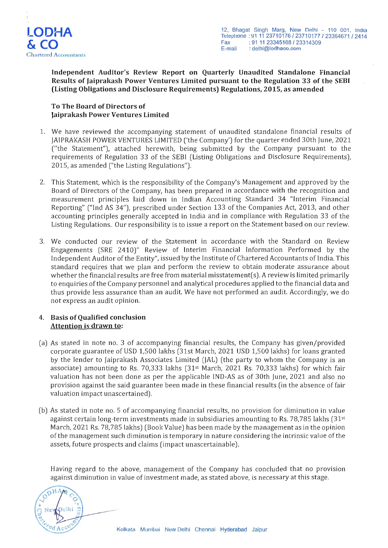

**Independent Auditor's Review Report on Quarterly Unaudited Standalone Financial Results of Jaiprakash Power Ventures Limited pursuant to the Regulation 33 of the SEBI (Listing Obligations and Disclosure Requirements) Regulations, 2015, as amended** 

### **To The Board of Directors of Jaiprakash Power Ventures Limited**

- 1. We have reviewed the accompanying statement of unaudited standalone financial results of JAIPRAKASH POWER VENTURES LIMITED ('the Company') for the quarter ended 30th June, 2021 ("the Statement"), attached herewith, being submitted by the Company pursuant to the requirements of Regulation 33 of the SEBI (Listing Obligations and Disclosure Requirements), 2015, as amended ("the Listing Regulations").
- 2. This Statement, which is the responsibility of the Company's Management and approved by the Board of Directors of the Company, has been prepared in accordance with the recognition and measurement principles laid down in Indian Accounting Standard 34 "Interim Financial Reporting" ("Ind AS 34"), prescribed under Section 133 of the Companies Act, 2013, and other accounting principles generally accepted in India and in compliance with Regulation 33 of the Listing Regulations. Our responsibility is to issue a report on the Statement based on our review.
- 3. We conducted our review of the Statement in accordance with the Standard on Review Engagements (SRE 2410)" Review of Interim Financial Information Performed by the Independent Auditor of the Entity", issued by the Institute of Chartered Accountants of India. This standard requires that we plan and perform the review to obtain moderate assurance about whether the financial results are free from material misstatement(s). A review is limited primarily to enquiries of the Company personnel and analytical procedures applied to the financial data and thus provide less assurance than an audit. We have not performed an audit. Accordingly, we do not express an audit opinion.

#### 4. **Basis of Qualified conclusion Attention is drawn to:**

- (a) As stated in note no. 3 of accompanying financial results, the Company has given/provided corporate guarantee of USD 1,500 lakhs (31st March, 2021 USD 1,500 lakhs) for loans granted by the lender to Jaiprakash Associates Limited (JAL) (the party to whom the Company is an associate) amounting to Rs. 70,333 lakhs (31st March, 2021 Rs. 70,333 lakhs) for which fair valuation has not been done as per the applicable IND-AS as of 30th June, 2021 and also no provision against the said guarantee been made in these financial results (in the absence of fair valuation impact unascertained).
- (b) As stated in note no. 5 of accompanying financial results, no provision for diminution in value against certain long-term investments made in subsidiaries amounting to Rs. 78,785 lakhs  $(31^{st}$ March, 2021 Rs. 78,785 lakhs) (Book Value) has been made by the management as in the opinion of the management such diminution is temporary in nature considering the intrinsic value of the assets, future prospects and claims (impact unascertainable).

Having regard to the above, management of the Company has concluded that no provision against diminution in value of investment made, as stated above, is necessary at this stage.

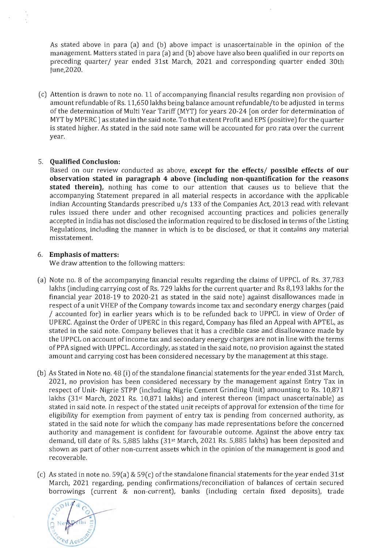As stated *above* in para (a) and (b) *above* impact is unascertainable in the opinion of the management. Matters stated in para (a) and (b) *above* have also been qualified in our reports on preceding quarter/ year ended 31st March, 2021 and corresponding quarter ended 30th June,2020.

(c) Attention is drawn to note no. 11 of accompanying financial results regarding non provision of amount refundable of Rs. 11,650 lakhs being balance amount refundable/to be adjusted in terms of the determination of Multi Year Tariff (MYT) for years 20-24 [on order for determination of MYT by MPERC] as stated in the said note. To that extent Profit and EPS (positive) for the quarter is stated higher. As stated in the said note same will be accounted for pro rata over the current year.

#### 5. **Qualified Conclusion:**

Based on our review conducted as above, **except for the effects/ possible effects of our observation stated in paragraph 4 above (including non-quantification for the reasons stated therein),** nothing has come to our attention that causes us to believe that the accompanying Statement prepared in all material respects in accordance with the applicable Indian Accounting Standards prescribed  $u/s$  133 of the Companies Act, 2013 read with relevant rules issued there under and other recognised accounting practices and policies generally accepted in India has not disclosed the information required to be disclosed in terms of the Listing Regulations, including the manner in which is to be disclosed, or that it contains any material misstatement.

#### 6. **Emphasis of matters:**

We draw attention to the following matters:

- (a) Note no. 8 of the accompanying financial results regarding the claims of UPPCL of Rs. 37,783 lakhs (including carrying cost of Rs. 729 lakhs for the current quarter and Rs 8,193 lakhs for the financial year 2018-19 to 2020-21 as stated in the said note) against disallowances made in respect of a unit VHEP of the Company towards income tax and secondary energy charges (paid / accounted for) in earlier years which is to be refunded back to UPPCL in *view* of Order of UPERC. Against the Order of UPERC in this regard, Company has filed an Appeal with APTEL, as stated in the said note. Company *believes* that it has a credible case and disallowance made by the UPPCL on account of income tax and secondary energy charges are not in line with the terms ofPPA signed with UPPCL. Accordingly, as stated in the said note, no provision against the stated amount and carrying cost has been considered necessary by the management at this stage.
- (b) As Stated in Note no. 48 (i) of the standalone financial statements for the year ended 31st March, 2021, no provision has been considered necessary by the management against Entry Tax in respect of Unit- Nigrie STPP (including Nigrie Cement Grinding Unit) amounting to Rs. 10,871 lakhs  $(31^{st}$  March, 2021 Rs. 10,871 lakhs) and interest thereon (impact unascertainable) as stated in said note. In respect of the stated unit receipts of approval for extension of the time for eligibility for exemption from payment of entry tax is pending from concerned authority, as stated in the said note for which the company has made representations before the concerned authority and management is confident for favourable outcome. Against the *above* entry tax demand, till date of Rs. 5,885 lakhs (31st March, 2021 Rs. 5,885 lakhs) has been deposited and shown as part of other non-current assets which in the opinion of the management is good and recoverable.
- (c) As stated in note no. 59(a) & 59(c) of the standalone financial statements for the year ended 31st March, 2021 regarding, pending confirmations/reconciliation of balances of certain secured borrowings (current & non-current), banks (including certain fixed deposits), trade

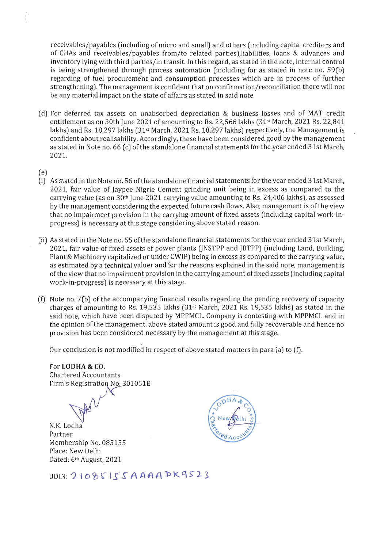receivables/payables (including of micro and small) and others (including capital creditors and of CHAs and receivables/payables from/to related parties),liabilities, loans & advances and inventory lying with third parties/in transit. In this regard, as stated in the note, internal control is being strengthened through process automation (including for as stated in note no. 59(b) regarding of fuel procurement and consumption processes which are in process of further strengthening). The management is confident that on confirmation/ reconciliation there will not be any material impact on the state of affairs as stated in said note.

- (d) For deferred tax assets on unabsorbed depreciation & business losses and of MAT credit entitlement as on 30th June 2021 of amounting to Rs. 22,566lakhs (31st March, 2021 Rs. 22,841 lakhs) and Rs. 18,297 lakhs (31<sup>st</sup> March, 2021 Rs. 18,297 lakhs) respectively, the Management is confident about realisability. Accordingly, these have been considered good by the management as stated in Note no. 66 (c) of the standalone financial statements for the year ended 31st March, 2021.
- (e)
- (i) As stated in the Note no. 56 of the standalone financial statements for the year ended 31st March, 2021, fair value of Jaypee Nigrie Cement grinding unit being in excess as compared to the carrying value (as on 30th June 2021 carrying value amounting to Rs. 24,406 lakhs), as assessed by the management considering the expected future cash flows. Also, management is of the view that no impairment provision in the carrying amount of fixed assets (including capital work-inprogress) is necessary at this stage considering above stated reason.
- (ii) As stated in the Note no. 55 of the standalone financial statements for the year ended 31st March, 2021, fair value of fixed assets of power plants (JNSTPP and JBTPP) (including Land, Building, Plant & Machinery capitalized or under CWIP) being in excess as compared to the carrying value, as estimated by a technical valuer and for the reasons explained in the said note, management is of the view that no impairment provision in the carrying amount offixed assets (including capital work-in-progress) is necessary at this stage.
- $(f)$  Note no. 7(b) of the accompanying financial results regarding the pending recovery of capacity charges of amounting to Rs. 19,535 lakhs ( $31<sup>st</sup>$  March, 2021 Rs. 19,535 lakhs) as stated in the said note, which have been disputed by MPPMCL. Company is contesting with MPPMCL and in the opinion of the management, above stated amount is good and fully recoverable and hence no provision has been considered necessary by the management at this stage.

Our conclusion is not modified in respect of above stated matters in para (a) to (t).

# For **LODHA & CO.**

Chartered Accountants Firm's Registration No. 301051E

N.K. Lodha Partner Membership No. 085155 Place: New Delhi Dated: 6<sup>th</sup> August, 2021



UDIN: 21085155AAAA PK9523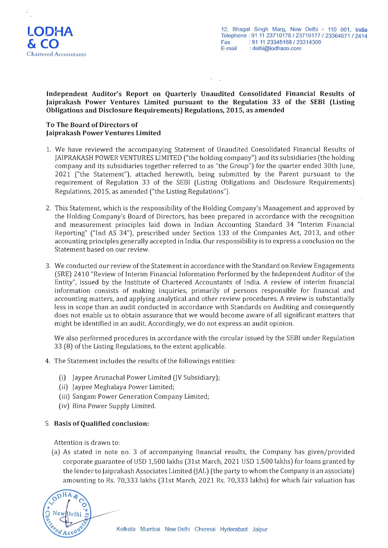

#### **Independent Auditor's Report on Quarterly Unaudited Consolidated Financial Results of Jaiprakash Power Ventures Limited pursuant to the Regulation 33 of the SEBI (Listing Obligations and Disclosure Requirements) Regulations, 2015, as amended**

#### **To The Board of Directors of Jaiprakash Power Ventures Limited**

- 1. We have reviewed the accompanying Statement of Unaudited Consolidated Financial Results of JAIPRAKASH POWER VENTURES LIMITED ("the holding company") and its subsidiaries (the holding company and its subsidiaries together referred to as "the Group") for the quarter ended 30th June, 2021 ("the Statement"), attached herewith, being submitted by the Parent pursuant to the requirement of Regulation 33 of the SEBI (Listing Obligations and Disclosure Requirements) Regulations, 2015, as amended ("the Listing Regulations").
- 2. This Statement, which is the responsibility of the Holding Company's Management and approved by the Holding Company's Board of Directors, has been prepared in accordance with the recognition and measurement principles laid down in Indian Accounting Standard 34 "Interim Financial Reporting" ("Ind AS 34"), prescribed under Section 133 of the Companies Act, 2013, and other accounting principles generally accepted in India. Our responsibility is to express a conclusion on the Statement based on our review.
- 3. We conducted our review of the Statement in accordance with the Standard on Review Engagements (SRE) 2410 "Review of Interim Financial Information Performed by the Independent Auditor of the Entity", issued by the Institute of Chartered Accountants of India. A review of interim financial information consists of making inquiries, primarily of persons responsible for financial and accounting matters, and applying analytical and other review procedures. A review is substantially less in scope than an audit conducted in accordance with Standards on Auditing and consequently does not enable us to obtain assurance that we would become aware of all significant matters that might be identified in an audit. Accordingly, we do not express an audit opinion.

We also performed procedures in accordance with the circular issued by the SEBI under Regulation 33 (8) of the Listing Regulations, to the extent applicable.

- 4. The Statement includes the results of the followings entities:
	- (i) Jaypee Arunachal Power Limited  $(V$  Subsidiary);
	- (ii) Jaypee Meghalaya Power Limited;
	- (iii) Sangam Power Generation Company Limited;
	- (iv) Bina Power Supply Limited.

#### 5. **Basis of Qualified conclusion:**

Attention is drawn to:

(a) As stated in note no. 3 of accompanying financial results, the Company has given/provided corporate guarantee ofUSD 1,500 lakhs (31st March, 2021 USD 1,500 lakhs) for loans granted by the lender to Jaiprakash Associates Limited (JAL) (the party to whom the Company is an associate) amounting to Rs. 70,333 lakhs (31st March, 2021 Rs. 70,333 lakhs) for which fair valuation has

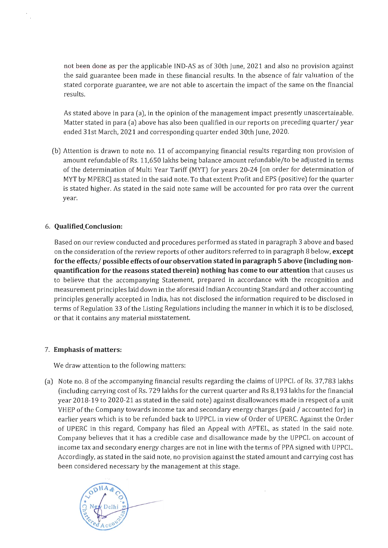not been done as per the applicable IND-AS as of 30th June, 2021 and also no provision against the said guarantee been made in these financial results. In the absence of fair valuation of the stated corporate guarantee, we are not able to ascertain the impact of the same on the financial results.

As stated above in para (a), in the opinion of the management impact presently unascertainable. Matter stated in para (a) above has also been qualified in our reports on preceding quarter/year ended 31st March, 2021 and corresponding quarter ended 30th June, 2020.

(b) Attention is drawn to note no. 11 of accompanying financial results regarding non provision of amount refundable of Rs. 11,650 lakhs being balance amount refundable/to be adjusted in terms of the determination of Multi Year Tariff (MYT) for years 20-24 [on order for determination of MYT by MPERC] as stated in the said note. To that extent Profit and EPS (positive) for the quarter is stated higher. As stated in the said note same will be accounted for pro rata over the current year.

### 6. **Qualified\_Conclusion:**

Based on our review conducted and procedures performed as stated in paragraph 3 above and based on the consideration of the review reports of other auditors referred to in paragraph 8 below, **except for the** effects/ **possible effects of our observation stated in paragraph 5 above (including nonquantification for the reasons stated therein) nothing has come to our attention** that causes us to believe that the accompanying Statement, prepared in accordance with the recognition and measurement principles laid down in the aforesaid Indian Accounting Standard and other accounting principles generally accepted in India, has not disclosed the information required to be disclosed in terms of Regulation 33 of the Listing Regulations including the manner in which it is to be disclosed, or that it contains any material misstatement.

#### 7. **Emphasis** of matters:

We draw attention to the following matters:

(a) Note no. 8 of the accompanying financial results regarding the claims of UPPCL of Rs. 37,783 lakhs (including carrying cost of Rs. 729 lakhs for the current quarter and Rs 8,193 lakhs for the financial year 2018-19 to 2020-21 as stated in the said note) against disallowances made in respect of a unit VHEP of the Company towards income tax and secondary energy charges (paid / accounted for) in earlier years which is to be refunded back to UPPCL in view of Order of UPERC. Against the Order of UPERC in this regard, Company has filed an Appeal with APTEL, as stated in the said note. Company believes that it has a credible case and disallowance made by the UPPCL on account of income tax and secondary energy charges are not in line with the terms of PPA signed with UPPCL. Accordingly, as stated in the said note, no provision against the stated amount and carrying cost has been considered necessary by the management at this stage.

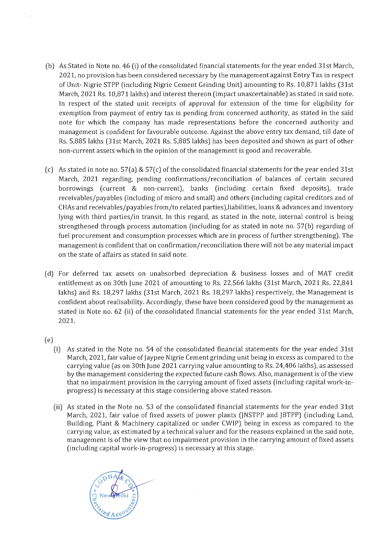- (b) As Stated in Note no. 46 (i) of the consolidated financial statements for the year ended 31st March, 2021, no provision has been considered necessary by the management against Entry Tax in respect of Unit- Nigrie STPP (including Nigrie Cement Grinding Unit) amounting to Rs. 10,871lakhs (31st March, 2021 Rs. 10,871 lakhs) and interest thereon (impact unascertainable) as stated in said note. In respect of the stated unit receipts of approval for extension of the time for eligibility for exemption from payment of entry tax is pending from concerned authority, as stated in the said note for which the company has made representations before the concerned authority and management is confident for favourable outcome. Against the above entry tax demand, till date of Rs. 5,885 lakhs (31st March, 2021 Rs. 5,885 lakhs) has been deposited and shown as part of other non-current assets which in the opinion of the management is good and recoverable.
- (c) As stated in note no. 57(a) & 57(c) of the consolidated financial statements for the year ended 31st March, 2021 regarding, pending confirmations/reconciliation of balances of certain secured borrowings (current & non-current), banks (including certain fixed deposits), trade receivables/payables (including of micro and small) and others (including capital creditors and of CHAs and receivables/payables from/to related parties),liabilities, loans & advances and inventory lying with third parties/in transit. In this regard, as stated in the note, internal control is being strengthened through process automation (including for as stated in note no. 57(b) regarding of fuel procurement and consumption processes which are in process of further strengthening). The management is confident that on confirmation/reconciliation there will not be any material impact on the state of affairs as stated in said note.
- (d) For deferred tax assets on unabsorbed depreciation & business losses and of MAT credit entitlement as on 30th June 2021 of amounting to Rs. 22,566 lakhs (31st March, 2021 Rs. 22,841 lakhs) and Rs. 18,297 lakhs (31st March, 2021 Rs. 18,297 lakhs) respectively, the Management is confident about realisability. Accordingly, these have been considered good by the management as stated in Note no. 62 (ii) of the consolidated financial statements for the year ended 31st March, 2021.
- (e)
	- (i) As stated in the Note no. 54 of the consolidated financial statements for the year ended 31st March, 2021, fair value of Jaypee Nigrie Cement grinding unit being in excess as compared to the carrying value (as on 30th June 2021 carrying value amounting to Rs. 24,406 lakhs), as assessed by the management considering the expected future cash flows. Also, management is ofthe view that no impairment provision in the carrying amount of fixed assets (including capital work-inprogress) is necessary at this stage considering above stated reason.
	- (ii) As stated in the Note no. 53 of the consolidated financial statements for the year ended 31st March, 2021, fair value of fixed assets of power plants (JNSTPP and JBTPP) (including Land, Building, Plant & Machinery capitalized or under CWIP) being in excess as compared to the carrying value, as estimated by a technical valuer and for the reasons explained in the said note, management is of the view that no impairment provision in the carrying amount of fixed assets (including capital work-in-progress) is necessary at this stage.

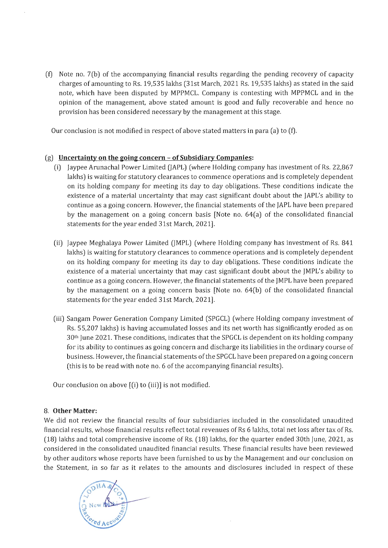(t) Note no. 7(b) of the accompanying financial results regarding the pending recovery of capacity charges of amounting to Rs.19,535 lakhs (31st March, 2021 Rs. 19,535 lakhs) as stated in the said note, which have been disputed by MPPMCL. Company is contesting with MPPMCL and in the opinion of the management, above stated amount is good and fully recoverable and hence no provision has been considered necessary by the management at this stage.

Our conclusion is not modified in respect of above stated matters in para (a) to (t).

#### (g) **Uncertainty on the going concern - of Subsidiary Companies:**

- (i) Jaypee Arunachal Power Limited (JAPL) (where Holding company has investment of Rs. 22,867 lakhs) is waiting for statutory clearances to commence operations and is completely dependent on its holding company for meeting its day to day obligations. These conditions indicate the existence of a material uncertainty that may cast significant doubt about the JAPL's ability to continue as a going concern. However, the financial statements of the JAPL have been prepared by the management on a going concern basis [Note no. 64(a) of the consolidated financial statements for the year ended 31st March, 2021).
- (ii) Jaypee Meghalaya Power Limited (JMPL) (where Holding company has investment of Rs. 841 lakhs) is waiting for statutory clearances to commence operations and is completely dependent on its holding company for meeting its day to day obligations. These conditions indicate the existence of a material uncertainty that may cast significant doubt about the JMPL's ability to continue as a going concern. However, the financial statements of the JMPL have been prepared by the management on a going concern basis [Note no. 64(b) of the consolidated financial statements for the year ended 31st March, 2021).
- (iii) Sangam Power Generation Company Limited (SPGCL) (where Holding company investment of Rs. 55,207 lakhs) is having accumulated losses and its net worth has significantly eroded as on  $30<sup>th</sup>$  June 2021. These conditions, indicates that the SPGCL is dependent on its holding company for its ability to continues as going concern and discharge its liabilities in the ordinary course of business. However, the financial statements of the SPGCL have been prepared on a going concern (this is to be read with note no. 6 of the accompanying financial results).

Our conclusion on above [(i) to (iii)] is not modified.

#### 8. **Other Matter:**

We did not review the financial results of four subsidiaries included in the consolidated unaudited financial results, whose financial results reflect total revenues of Rs 6 lakhs, total net loss after tax of Rs. (18) lakhs and total comprehensive income of Rs. (18) lakhs, for the quarter ended 30th June, 2021, as considered in the consolidated unaudited financial results. These financial results have been reviewed by other auditors whose reports have been furnished to us by the Management and our conclusion on the Statement, in so far as it relates to the amounts and disclosures included in respect of these